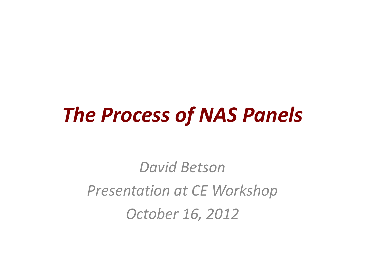#### *The Process of NAS Panels*

*David Betson Presentation at CE Workshop October 16, 2012*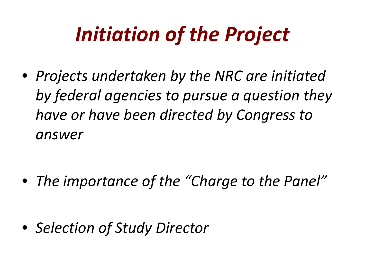# *Initiation of the Project*

• *Projects undertaken by the NRC are initiated by federal agencies to pursue a question they have or have been directed by Congress to answer*

• *The importance of the "Charge to the Panel"*

• *Selection of Study Director*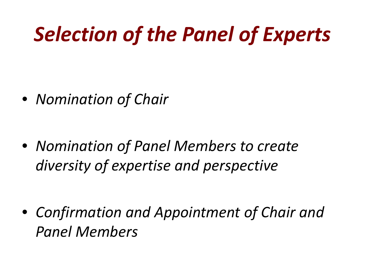# *Selection of the Panel of Experts*

• *Nomination of Chair*

• *Nomination of Panel Members to create diversity of expertise and perspective*

• *Confirmation and Appointment of Chair and Panel Members*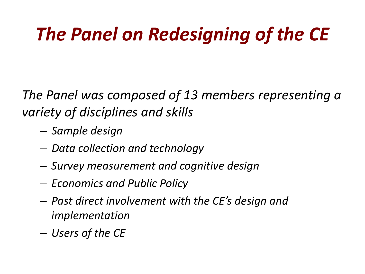#### *The Panel on Redesigning of the CE*

*The Panel was composed of 13 members representing a variety of disciplines and skills* 

- *Sample design*
- *Data collection and technology*
- *Survey measurement and cognitive design*
- *Economics and Public Policy*
- *Past direct involvement with the CE's design and implementation*
- *Users of the CE*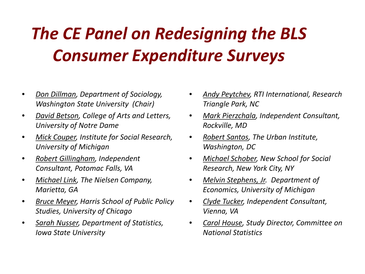#### *The CE Panel on Redesigning the BLS Consumer Expenditure Surveys*

- *Don Dillman, Department of Sociology, Washington State University (Chair)*
- *David Betson, College of Arts and Letters, University of Notre Dame*
- *Mick Couper, Institute for Social Research, University of Michigan*
- *Robert Gillingham, Independent Consultant, Potomac Falls, VA*
- *Michael Link, The Nielsen Company, Marietta, GA*
- *Bruce Meyer, Harris School of Public Policy Studies, University of Chicago*
- *Sarah Nusser, Department of Statistics, Iowa State University*
- *Andy Peytchev, RTI International, Research Triangle Park, NC*
- *Mark Pierzchala, Independent Consultant, Rockville, MD*
- *Robert Santos, The Urban Institute, Washington, DC*
- *Michael Schober, New School for Social Research, New York City, NY*
- *Melvin Stephens, Jr. Department of Economics, University of Michigan*
- *Clyde Tucker, Independent Consultant, Vienna, VA*
- *Carol House, Study Director, Committee on National Statistics*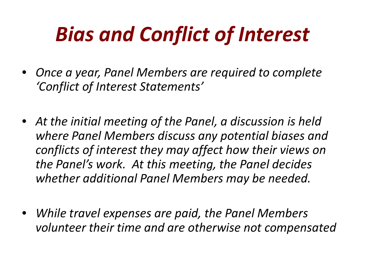# *Bias and Conflict of Interest*

- *Once a year, Panel Members are required to complete 'Conflict of Interest Statements'*
- *At the initial meeting of the Panel, a discussion is held where Panel Members discuss any potential biases and conflicts of interest they may affect how their views on the Panel's work. At this meeting, the Panel decides whether additional Panel Members may be needed.*
- *While travel expenses are paid, the Panel Members volunteer their time and are otherwise not compensated*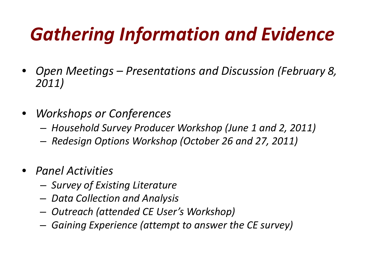### *Gathering Information and Evidence*

- *Open Meetings Presentations and Discussion (February 8, 2011)*
- *Workshops or Conferences*
	- *Household Survey Producer Workshop (June 1 and 2, 2011)*
	- *Redesign Options Workshop (October 26 and 27, 2011)*
- *Panel Activities*
	- *Survey of Existing Literature*
	- *Data Collection and Analysis*
	- *Outreach (attended CE User's Workshop)*
	- *Gaining Experience (attempt to answer the CE survey)*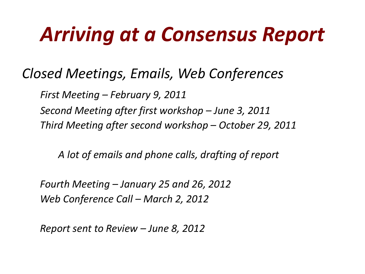# *Arriving at a Consensus Report*

#### *Closed Meetings, Emails, Web Conferences*

*First Meeting – February 9, 2011 Second Meeting after first workshop – June 3, 2011 Third Meeting after second workshop – October 29, 2011*

 *A lot of emails and phone calls, drafting of report*

*Fourth Meeting – January 25 and 26, 2012 Web Conference Call – March 2, 2012*

*Report sent to Review – June 8, 2012*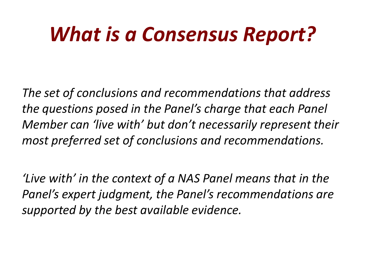## *What is a Consensus Report?*

*The set of conclusions and recommendations that address the questions posed in the Panel's charge that each Panel Member can 'live with' but don't necessarily represent their most preferred set of conclusions and recommendations.*

*'Live with' in the context of a NAS Panel means that in the Panel's expert judgment, the Panel's recommendations are supported by the best available evidence.*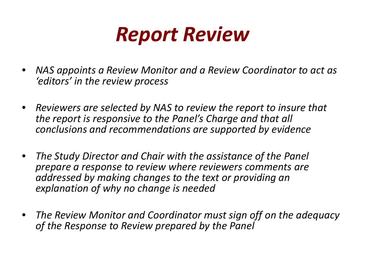

- *NAS appoints a Review Monitor and a Review Coordinator to act as 'editors' in the review process*
- *Reviewers are selected by NAS to review the report to insure that the report is responsive to the Panel's Charge and that all conclusions and recommendations are supported by evidence*
- *The Study Director and Chair with the assistance of the Panel prepare a response to review where reviewers comments are addressed by making changes to the text or providing an explanation of why no change is needed*
- *The Review Monitor and Coordinator must sign off on the adequacy of the Response to Review prepared by the Panel*